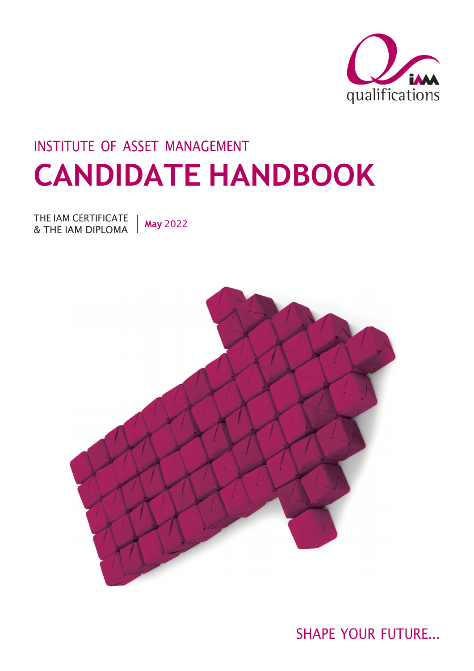

# INSTITUTE OF ASSET MANAGEMENT CANDIDATE HANDBOOK

THE IAM CERTIFICATE | May 2022 & THE IAM DIPLOMA



SHAPE YOUR FUTURE...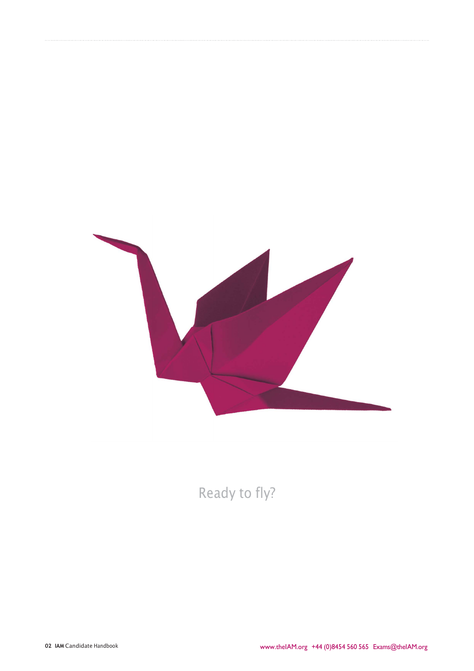

Ready to fly?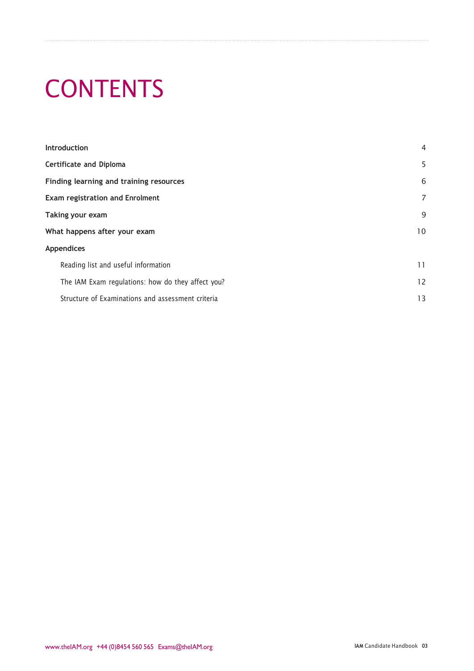# **CONTENTS**

| <b>Introduction</b>                               | 4  |
|---------------------------------------------------|----|
| <b>Certificate and Diploma</b>                    | 5  |
| Finding learning and training resources           | 6  |
| <b>Exam registration and Enrolment</b>            | 7  |
| Taking your exam                                  | 9  |
| What happens after your exam                      | 10 |
| <b>Appendices</b>                                 |    |
| Reading list and useful information               | 11 |
| The IAM Exam regulations: how do they affect you? | 12 |
| Structure of Examinations and assessment criteria | 13 |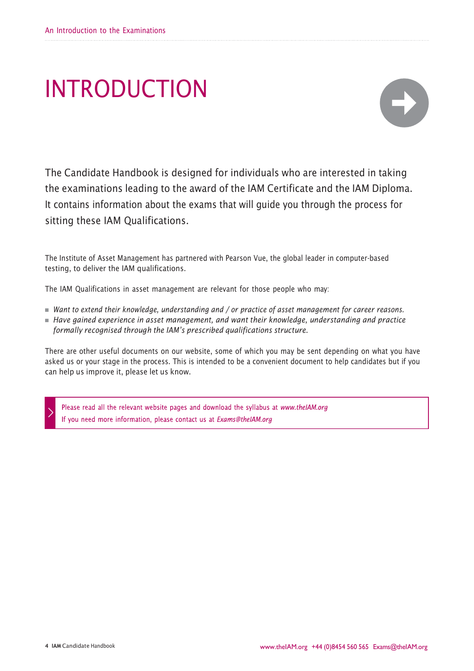# INTRODUCTION



The Candidate Handbook is designed for individuals who are interested in taking the examinations leading to the award of the IAM Certificate and the IAM Diploma. It contains information about the exams that will guide you through the process for sitting these IAM Qualifications.

The Institute of Asset Management has partnered with Pearson Vue, the global leader in computer-based testing, to deliver the IAM qualifications.

The IAM Qualifications in asset management are relevant for those people who may:

- Want to extend their knowledge, understanding and / or practice of asset management for career reasons.
- $\blacksquare$  Have gained experience in asset management, and want their knowledge, understanding and practice formally recognised through the IAM's prescribed qualifications structure.

There are other useful documents on our website, some of which you may be sent depending on what you have asked us or your stage in the process. This is intended to be a convenient document to help candidates but if you can help us improve it, please let us know.

Please read all the relevant website pages and download the syllabus at www.theIAM.org If you need more information, please contact us at Exams@theIAM.org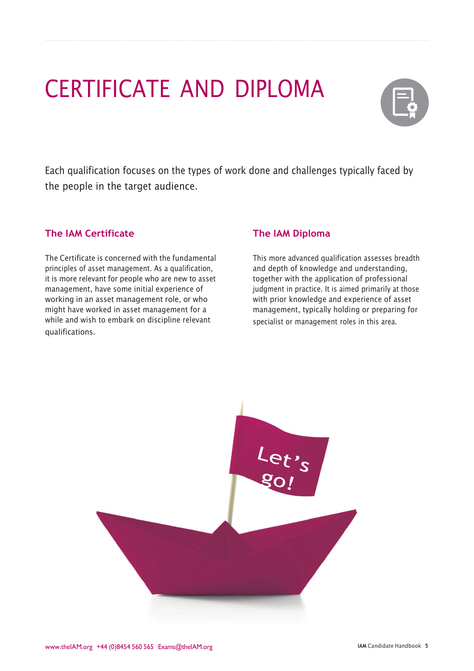# CERTIFICATE AND DIPLOMA



Each qualification focuses on the types of work done and challenges typically faced by the people in the target audience.

# The IAM Certificate

The Certificate is concerned with the fundamental principles of asset management. As a qualification, it is more relevant for people who are new to asset management, have some initial experience of working in an asset management role, or who might have worked in asset management for a while and wish to embark on discipline relevant qualifications.

## The IAM Diploma

This more advanced qualification assesses breadth and depth of knowledge and understanding, together with the application of professional judgment in practice. It is aimed primarily at those with prior knowledge and experience of asset management, typically holding or preparing for specialist or management roles in this area.

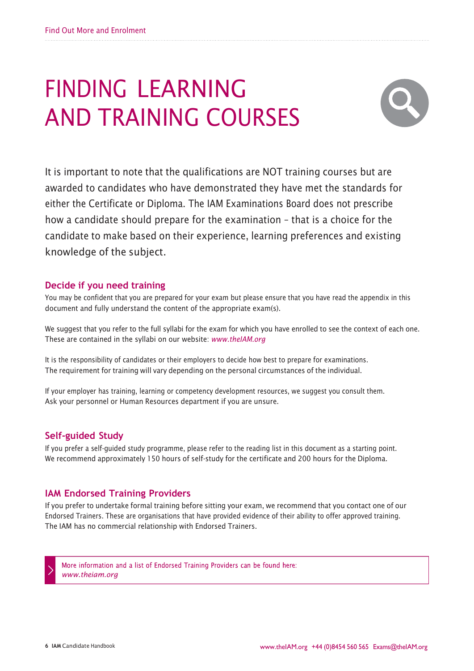# FINDING LEARNING AND TRAINING COURSES

![](_page_5_Picture_2.jpeg)

It is important to note that the qualifications are NOT training courses but are awarded to candidates who have demonstrated they have met the standards for either the Certificate or Diploma. The IAM Examinations Board does not prescribe how a candidate should prepare for the examination – that is a choice for the candidate to make based on their experience, learning preferences and existing knowledge of the subject.

### Decide if you need training

You may be confident that you are prepared for your exam but please ensure that you have read the appendix in this document and fully understand the content of the appropriate exam(s).

We suggest that you refer to the full syllabi for the exam for which you have enrolled to see the context of each one. These are contained in the syllabi on our website: www.theIAM.org

It is the responsibility of candidates or their employers to decide how best to prepare for examinations. The requirement for training will vary depending on the personal circumstances of the individual.

If your employer has training, learning or competency development resources, we suggest you consult them. Ask your personnel or Human Resources department if you are unsure.

## Self-guided Study

If you prefer a self-guided study programme, please refer to the reading list in this document as a starting point. We recommend approximately 150 hours of self-study for the certificate and 200 hours for the Diploma.

### IAM Endorsed Training Providers

If you prefer to undertake formal training before sitting your exam, we recommend that you contact one of our Endorsed Trainers. These are organisations that have provided evidence of their ability to offer approved training. The IAM has no commercial relationship with Endorsed Trainers.

More information and a list of Endorsed Training Providers can be found here: www.theiam.org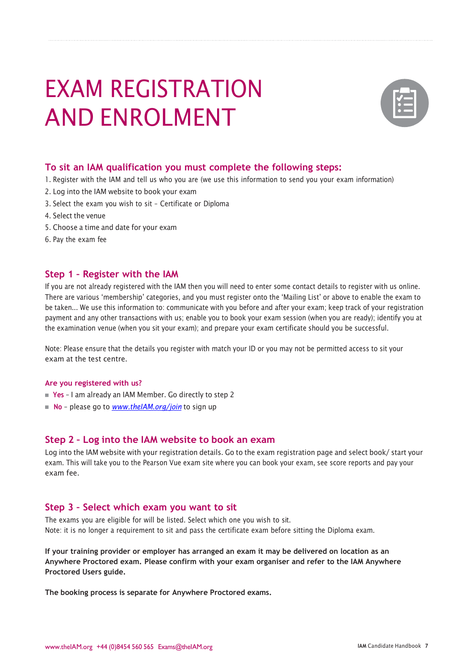# EXAM REGISTRATION AND ENROLMENT

![](_page_6_Picture_1.jpeg)

#### To sit an IAM qualification you must complete the following steps:

- 1. Register with the IAM and tell us who you are(we use this information to send you your exam information)
- 2. Log into the IAM website to book your exam
- 3. Select the exam you wish to sit Certificate or Diploma
- 4. Select the venue
- 5. Choose a time and date for your exam
- 6. Pay the exam fee

#### Step 1 – Register with the IAM

If you are not already registered with the IAM then you will need to enter some contact details to register with us online. There are various 'membership' categories, and you must register onto the 'Mailing List' or above to enable the exam to be taken... We use this information to: communicate with you before and after your exam; keep track of your registration payment and any other transactions with us; enable you to book your exam session (when you are ready); identify you at the examination venue (when you sit your exam); and prepare your exam certificate should you be successful.

Note: Please ensure that the details you register with match your ID or you may not be permitted access to sit your exam at the test centre.

#### Are you registered with us?

- Yes I am already an IAM Member. Go directly to step 2
- $\blacksquare$  No please go to *www.theIAM.org/join* to sign up

#### Step 2 – Log into the IAM website to book an exam

Log into the IAM website with your registration details. Go to the exam registration page and select book/ start your exam. This will take you to the Pearson Vue exam site where you can book your exam, see score reports and pay your exam fee.

#### Step 3 – Select which exam you want to sit

The exams you are eligible for will be listed. Select which one you wish to sit. Note: it is no longer a requirement to sit and pass the certificate exam before sitting the Diploma exam.

If your training provider or employer has arranged an exam it may be delivered on location as an Anywhere Proctored exam. Please confirm with your exam organiser and refer to the IAM Anywhere Proctored Users guide.

The booking process is separate for Anywhere Proctored exams.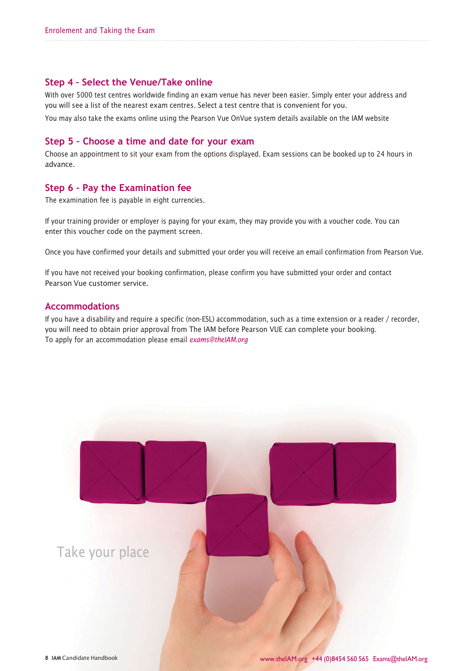### Step 4 – Select the Venue/Take online

With over 5000 test centres worldwide finding an exam venue has never been easier. Simply enter your address and you will see a list of the nearest exam centres. Select a test centre that is convenient for you. You may also take the exams online using the Pearson Vue OnVue system details available on the IAM website

#### Step 5 – Choose a time and date for your exam

Choose an appointment to sit your exam from the options displayed. Exam sessions can be booked up to 24 hours in advance.

### Step 6 – Pay the Examination fee

The examination fee is payable in eight currencies.

If your training provider or employer is paying for your exam, they may provide you with a voucher code. You can enter this voucher code on the payment screen.

Once you have confirmed your details and submitted your order you will receive an email confirmation from Pearson Vue.

If you have not received your booking confirmation, please confirm you have submitted your order and contact Pearson Vue customer service.

#### Accommodations

If you have a disability and require a specific (non-ESL) accommodation, such as a time extension or a reader / recorder, you will need to obtain prior approval from The IAM before Pearson VUE can complete your booking. To apply for an accommodation please email exams@theIAM.org

![](_page_7_Picture_12.jpeg)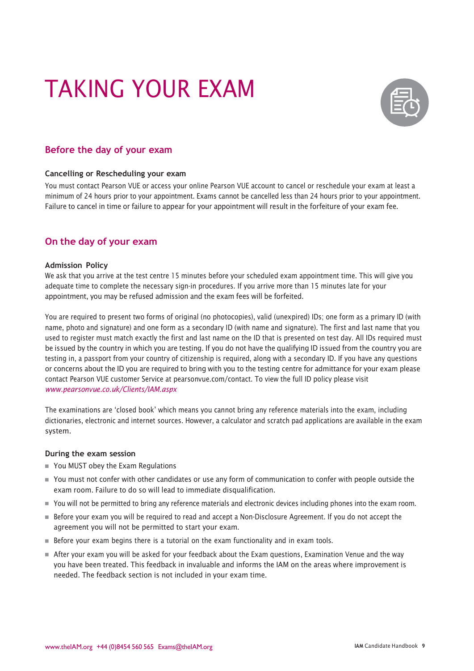# TAKING YOUR EXAM

![](_page_8_Picture_1.jpeg)

## Before the day of your exam

#### Cancelling or Rescheduling your exam

You must contact Pearson VUE or access your online Pearson VUE account to cancel or reschedule your exam at least a minimum of 24 hours prior to your appointment. Exams cannot be cancelled less than 24 hours prior to your appointment. Failure to cancel in time or failure to appear for your appointment will result in the forfeiture of your exam fee.

### On the day of your exam

#### Admission Policy

We ask that you arrive at the test centre 15 minutes before your scheduled exam appointment time. This will give you adequate time to complete the necessary sign-in procedures. If you arrive more than 15 minutes late for your appointment, you may be refused admission and the exam fees will be forfeited.

You are required to present two forms of original (no photocopies), valid (unexpired) IDs; one form as a primary ID (with name, photo and signature) and one form as a secondary ID (with name and signature). The first and last name that you used to register must match exactly the first and last name on the ID that is presented on test day. All IDs required must be issued by the country in which you are testing. If you do not have the qualifying ID issued from the country you are testing in, a passport from your country of citizenship is required, along with a secondary ID. If you have any questions or concerns about the ID you are required to bring with you to the testing centre for admittance for your exam please contact Pearson VUE customer Service at pearsonvue.com/contact. To view the full ID policy please visit www.pearsonvue.co.uk/Clients/IAM.aspx

The examinations are 'closed book' which means you cannot bring any reference materials into the exam, including dictionaries, electronic and internet sources. However, a calculator and scratch pad applications are available in the exam system.

#### During the exam session

- You MUST obey the Exam Regulations
- You must not confer with other candidates or use any form of communication to confer with people outside the exam room. Failure to do so will lead to immediate disqualification.
- You will not be permitted to bring any reference materials and electronic devices including phones into the exam room.
- Before your exam you will be required to read and accept a Non-Disclosure Agreement. If you do not accept the agreement you will not be permitted to start your exam.
- Before your exam begins there is a tutorial on the exam functionality and in exam tools.
- After your exam you will be asked for your feedback about the Exam questions, Examination Venue and the way you have been treated. This feedback in invaluable and informs the IAM on the areas where improvement is needed. The feedback section is not included in your exam time.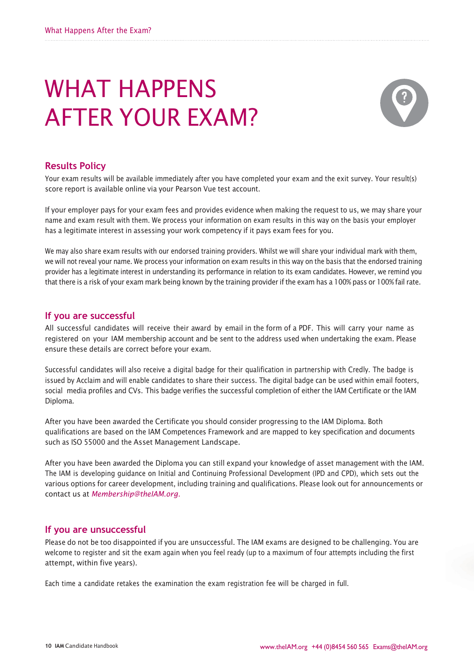# WHAT HAPPENS AFTER YOUR EXAM?

![](_page_9_Picture_2.jpeg)

### Results Policy

Your exam results will be available immediately after you have completed your exam and the exit survey. Your result(s) score report is available online via your Pearson Vue test account.

If your employer pays for your exam fees and provides evidence when making the request to us, we may share your name and exam result with them. We process your information on exam results in this way on the basis your employer has a legitimate interest in assessing your work competency if it pays exam fees for you.

We may also share exam results with our endorsed training providers. Whilst we will share your individual mark with them, we will not reveal your name. We process your information on exam results in this way on the basis that the endorsed training provider has a legitimate interest in understanding its performance in relation to its exam candidates. However, we remind you that there is a risk of your exam mark being known by the training provider if the exam has a 100% pass or 100% fail rate.

#### If you are successful

All successful candidates will receive their award by email in the form of a PDF. This will carry your name as registered on your IAM membership account and be sent to the address used when undertaking the exam. Please ensure these details are correct before your exam.

Successful candidates will also receive a digital badge for their qualification in partnership with Credly. The badge is issued by Acclaim and will enable candidates to share their success. The digital badge can be used within email footers, social media profiles and CVs. This badge verifies the successful completion of either the IAM Certificate or the IAM Diploma.

After you have been awarded the Certificate you should consider progressing to the IAM Diploma. Both qualifications are based on the IAM Competences Framework and are mapped to key specification and documents such as ISO 55000 and the Asset Management Landscape.

After you have been awarded the Diploma you can still expand your knowledge of asset management with the IAM. The IAM is developing guidance on Initial and Continuing Professional Development (IPD and CPD), which sets out the various options for career development, including training and qualifications. Please look out for announcements or contact us at Membership@theIAM.org.

#### If you are unsuccessful

Please do not be too disappointed if you are unsuccessful. The IAM exams are designed to be challenging. You are welcome to register and sit the exam again when you feel ready (up to a maximum of four attempts including the first attempt, within five years).

Each time a candidate retakes the examination the exam registration fee will be charged in full.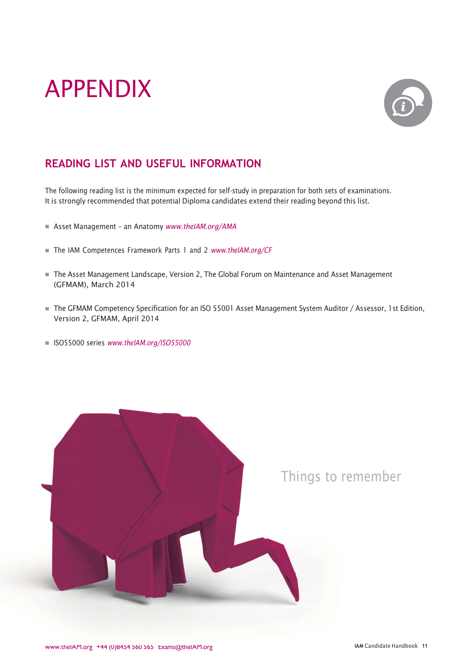# APPENDIX

![](_page_10_Picture_1.jpeg)

# READING LIST AND USEFUL INFORMATION

The following reading list is the minimum expected for self-study in preparation for both sets of examinations. It is strongly recommended that potential Diploma candidates extend their reading beyond this list.

- Asset Management an Anatomy www.theIAM.org/AMA
- The IAM Competences Framework Parts 1 and 2 www.theIAM.org/CF
- The Asset Management Landscape, Version 2, The Global Forum on Maintenance and Asset Management (GFMAM), March 2014
- The GFMAM Competency Specification for an ISO 55001 Asset Management System Auditor / Assessor, 1st Edition, Version 2, GFMAM, April 2014
- ISO55000 series www.theIAM.org/ISO55000

![](_page_10_Picture_9.jpeg)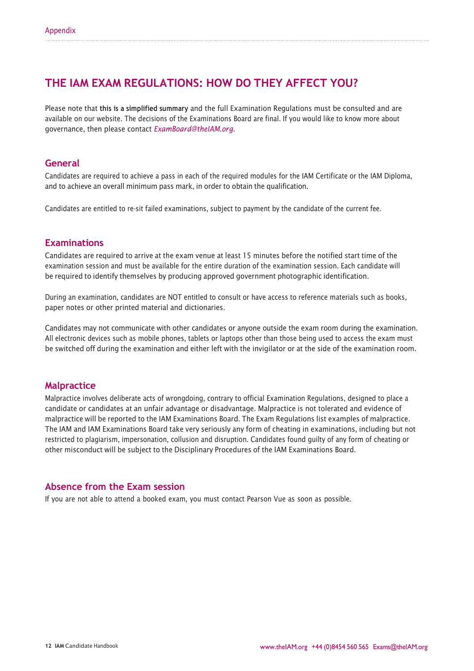# THE IAM EXAM REGULATIONS: HOW DO THEY AFFECT YOU?

Please note that this is a simplified summary and the full Examination Regulations must be consulted and are available on our website. The decisions of the Examinations Board are final. If you would like to know more about governance, then please contact ExamBoard@theIAM.org.

### General

Candidates are required to achieve a pass in each of the required modules for the IAM Certificate or the IAM Diploma, and to achieve an overall minimum pass mark, in order to obtain the qualification.

Candidates are entitled to re-sit failed examinations, subject to payment by the candidate of the current fee.

### Examinations

Candidates are required to arrive at the exam venue at least 15 minutes before the notified start time of the examination session and must be available for the entire duration of the examination session. Each candidate will be required to identify themselves by producing approved government photographic identification.

During an examination, candidates are NOT entitled to consult or have access to reference materials such as books, paper notes or other printed material and dictionaries.

Candidates may not communicate with other candidates or anyone outside the exam room during the examination. All electronic devices such as mobile phones, tablets or laptops other than those being used to access the exam must be switched off during the examination and either left with the invigilator or at the side of the examination room.

#### Malpractice

Malpractice involves deliberate acts of wrongdoing, contrary to official Examination Regulations, designed to place a candidate or candidates at an unfair advantage or disadvantage. Malpractice is not tolerated and evidence of malpractice will be reported to the IAM Examinations Board. The Exam Regulations list examples of malpractice. The IAM and IAM Examinations Board take very seriously any form of cheating in examinations, including but not restricted to plagiarism, impersonation, collusion and disruption. Candidates found guilty of any form of cheating or other misconduct will be subject to the Disciplinary Procedures of the IAM Examinations Board.

### Absence from the Exam session

If you are not able to attend a booked exam, you must contact Pearson Vue as soon as possible.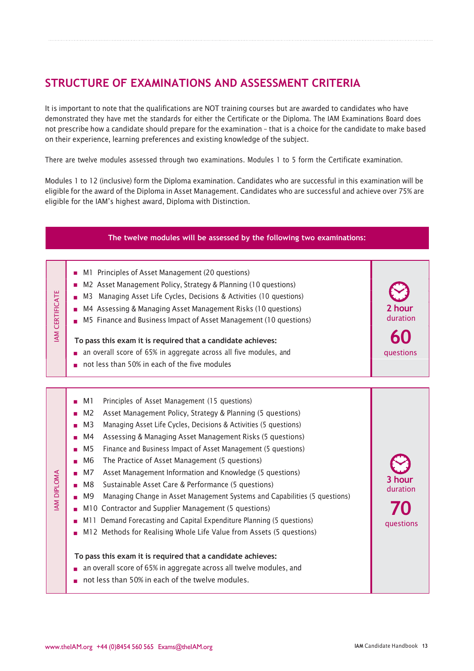# STRUCTURE OF EXAMINATIONS AND ASSESSMENT CRITERIA

It is important to note that the qualifications are NOT training courses but are awarded to candidates who have demonstrated they have met the standards for either the Certificate or the Diploma. The IAM Examinations Board does not prescribe how a candidate should prepare for the examination – that is a choice for the candidate to make based on their experience, learning preferences and existing knowledge of the subject.

There are twelve modules assessed through two examinations. Modules 1 to 5 form the Certificate examination.

Modules 1 to 12 (inclusive) form the Diploma examination. Candidates who are successful in this examination will be eligible for the award of the Diploma in Asset Management. Candidates who are successful and achieve over 75% are eligible for the IAM's highest award, Diploma with Distinction.

#### The twelve modules will be assessed by the following two examinations:M1 Principles of Asset Management (20 questions) M2 Asset Management Policy, Strategy & Planning (10 questions)  $\blacksquare$ IM Managing Asset Life Cycles, Decisions & Activities (10 questions)<br>
IMM Assessing & Managing Asset Management Risks (10 questions)<br>
IMM B Finance and Business Impact of Asset Management (10 questions)<br>
IMM B Finance and M4 Assessing & Managing Asset Management Risks (10 questions) 2 hour duration M5 Finance and Business Impact of Asset Management (10 questions) 60 To pass this exam it is required that a candidate achieves: an overall score of 65% in aggregate across all five modules, and questions not less than 50% in each of the five modules M1 Principles of Asset Management (15 questions) M2 Asset Management Policy, Strategy & Planning (5 questions) M3 Managing Asset Life Cycles, Decisions & Activities (5 questions) M4 Assessing & Managing Asset Management Risks (5 questions) M5 Finance and Business Impact of Asset Management (5 questions) M6 The Practice of Asset Management (5 questions) × M7 Asset Management Information and Knowledge (5 questions)  $\begin{array}{c} \leq \\ \triangle \\ \square \\ \square \\ \infty \end{array}$  **IM Asset Management Information and Know<br>
IMB Sustainable Asset Care & Performance (5<br>
IMB Managing Change in Asset Management System And Contractor and Supplier Management (5 c** 3 hour M8 Sustainable Asset Care & Performance (5 questions) duration M9 Managing Change in Asset Management Systems and Capabilities (5 questions) 70 M10 Contractor and Supplier Management (5 questions) M11 Demand Forecasting and Capital Expenditure Planning (5 questions) questions M12 Methods for Realising Whole Life Value from Assets (5 questions) To pass this exam it is required that a candidate achieves: **n** an overall score of 65% in aggregate across all twelve modules, and not less than 50% in each of the twelve modules.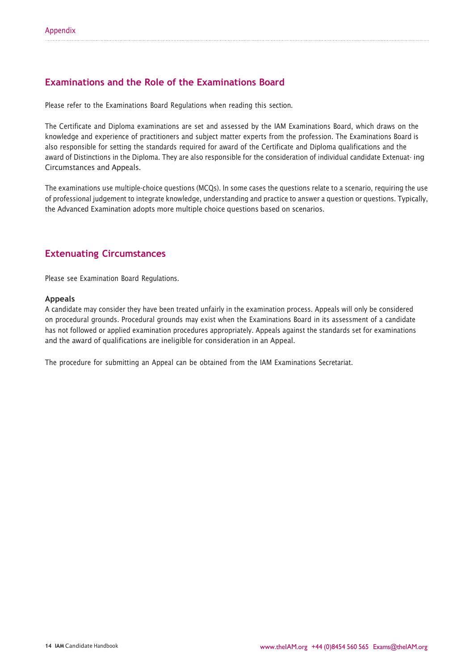# Examinations and the Role of the Examinations Board

Please refer to the Examinations Board Regulations when reading this section.

The Certificate and Diploma examinations are set and assessed by the IAM Examinations Board, which draws on the knowledge and experience of practitioners and subject matter experts from the profession. The Examinations Board is also responsible for setting the standards required for award of the Certificate and Diploma qualifications and the award of Distinctions in the Diploma. They are also responsible for the consideration of individual candidate Extenuat- ing Circumstances and Appeals.

The examinations use multiple-choice questions (MCQs). In some cases the questions relate to a scenario, requiring the use of professional judgement to integrate knowledge, understanding and practice to answer a question or questions. Typically, the Advanced Examination adopts more multiple choice questions based on scenarios.

## Extenuating Circumstances

Please see Examination Board Regulations.

#### Appeals

A candidate may consider they have been treated unfairly in the examination process. Appeals will only be considered on procedural grounds. Procedural grounds may exist when the Examinations Board in its assessment of a candidate has not followed or applied examination procedures appropriately. Appeals against the standards set for examinations and the award of qualifications are ineligible for consideration in an Appeal.

The procedure for submitting an Appeal can be obtained from the IAM Examinations Secretariat.